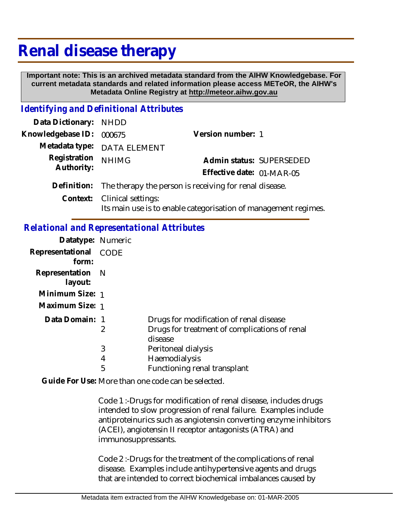# **Renal disease therapy**

 **Important note: This is an archived metadata standard from the AIHW Knowledgebase. For current metadata standards and related information please access METeOR, the AIHW's Metadata Online Registry at http://meteor.aihw.gov.au**

# *Identifying and Definitional Attributes*

| Data Dictionary: NHDD |                                                                    |                                                                 |
|-----------------------|--------------------------------------------------------------------|-----------------------------------------------------------------|
| Knowledgebase ID:     | 000675                                                             | Version number: 1                                               |
|                       | Metadata type: DATA ELEMENT                                        |                                                                 |
| Registration          | <b>NHIMG</b>                                                       | Admin status: SUPERSEDED                                        |
| Authority:            |                                                                    | Effective date: 01-MAR-05                                       |
|                       | Definition: The therapy the person is receiving for renal disease. |                                                                 |
|                       | Context: Clinical settings:                                        | Its main use is to enable categorisation of management regimes. |

#### *Relational and Representational Attributes*

| Datatype: Numeric              |   |                                                          |
|--------------------------------|---|----------------------------------------------------------|
| Representational CODE<br>form: |   |                                                          |
| Representation N<br>layout:    |   |                                                          |
| Minimum Size: 1                |   |                                                          |
| Maximum Size: 1                |   |                                                          |
| Data Domain: 1                 |   | Drugs for modification of renal disease                  |
|                                | 2 | Drugs for treatment of complications of renal<br>disease |
|                                | 3 | Peritoneal dialysis                                      |
|                                | 4 | <b>Haemodialysis</b>                                     |
|                                | 5 | Functioning renal transplant                             |

Guide For Use: More than one code can be selected.

Code 1 :-Drugs for modification of renal disease, includes drugs intended to slow progression of renal failure. Examples include antiproteinurics such as angiotensin converting enzyme inhibitors (ACEI), angiotensin II receptor antagonists (ATRA) and immunosuppressants.

Code 2 :-Drugs for the treatment of the complications of renal disease. Examples include antihypertensive agents and drugs that are intended to correct biochemical imbalances caused by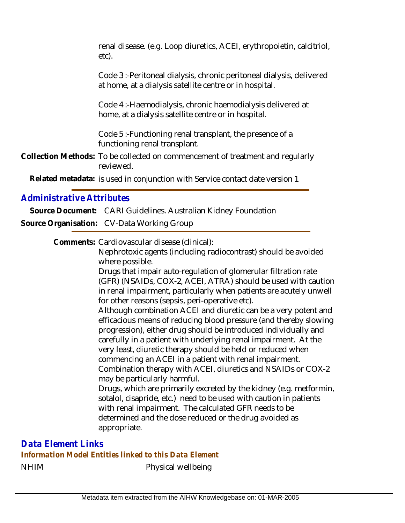| renal disease. (e.g. Loop diuretics, ACEI, erythropoietin, calcitriol,<br>etc).                                                 |
|---------------------------------------------------------------------------------------------------------------------------------|
| Code 3 :-Peritoneal dialysis, chronic peritoneal dialysis, delivered<br>at home, at a dialysis satellite centre or in hospital. |
| Code 4 :- Haemodialysis, chronic haemodialysis delivered at<br>home, at a dialysis satellite centre or in hospital.             |
| Code 5 :- Functioning renal transplant, the presence of a<br>functioning renal transplant.                                      |
| Collection Methods: To be collected on commencement of treatment and regularly<br>reviewed.                                     |
| Related metadata: is used in conjunction with Service contact date version 1                                                    |
|                                                                                                                                 |

### *Administrative Attributes*

**Source Document:** CARI Guidelines. Australian Kidney Foundation **Source Organisation:** CV-Data Working Group

Comments: Cardiovascular disease (clinical):

Nephrotoxic agents (including radiocontrast) should be avoided where possible.

Drugs that impair auto-regulation of glomerular filtration rate (GFR) (NSAIDs, COX-2, ACEI, ATRA) should be used with caution in renal impairment, particularly when patients are acutely unwell for other reasons (sepsis, peri-operative etc).

Although combination ACEI and diuretic can be a very potent and efficacious means of reducing blood pressure (and thereby slowing progression), either drug should be introduced individually and carefully in a patient with underlying renal impairment. At the very least, diuretic therapy should be held or reduced when commencing an ACEI in a patient with renal impairment. Combination therapy with ACEI, diuretics and NSAIDs or COX-2 may be particularly harmful. Drugs, which are primarily excreted by the kidney (e.g. metformin, sotalol, cisapride, etc.) need to be used with caution in patients

with renal impairment. The calculated GFR needs to be determined and the dose reduced or the drug avoided as appropriate.

NHIM Physical wellbeing *Data Element Links Information Model Entities linked to this Data Element*